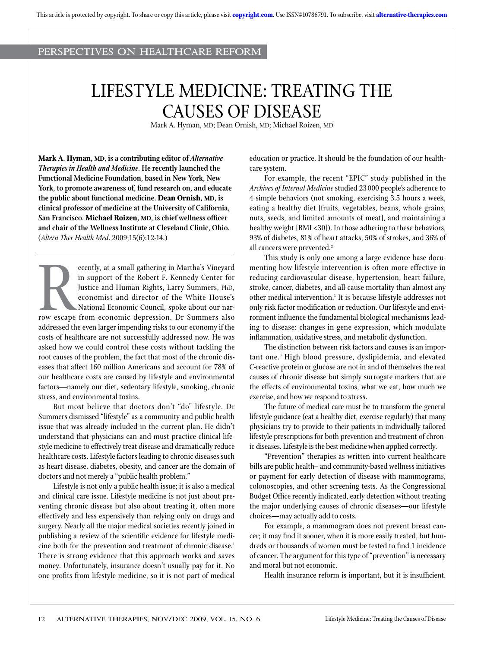## PERSPECTIVE<sup>S</sup> ON HEALTHCARE REFORM

# LIFESTYLE MEDICINE: TREATING THE CAUSES OF DISEASE

Mark A. Hyman, MD; Dean Ornish, MD; Michael Roizen, MD

**Mark A. Hyman, MD, is a contributing editor of** *Alternative Therapies in Health and Medicine***. He recently launched the Functional Medicine Foundation, based in New York, New York, to promote awareness of, fund research on, and educate the public about functional medicine. Dean Ornish, MD, is clinical professor of medicine at the University of California, San Francisco. Michael Roizen, MD, is chief wellness officer and chair of the Wellness Institute at Cleveland Clinic, Ohio.**  (*Altern Ther Health Med*. 2009;15(6):12-14.)

R<sub>row</sub> escape ecently, at a small gathering in Martha's Vineyard in support of the Robert F. Kennedy Center for Justice and Human Rights, Larry Summers, PhD, economist and director of the White House's National Economic Council, spoke about our narrow escape from economic depression. Dr Summers also addressed the even larger impending risks to our economy if the costs of healthcare are not successfully addressed now. He was asked how we could control these costs without tackling the root causes of the problem, the fact that most of the chronic diseases that affect 160 million Americans and account for 78% of our healthcare costs are caused by lifestyle and environmental factors—namely our diet, sedentary lifestyle, smoking, chronic stress, and environmental toxins.

But most believe that doctors don't "do" lifestyle. Dr Summers dismissed "lifestyle" as a community and public health issue that was already included in the current plan. He didn't understand that physicians can and must practice clinical lifestyle medicine to effectively treat disease and dramatically reduce healthcare costs. Lifestyle factors leading to chronic diseases such as heart disease, diabetes, obesity, and cancer are the domain of doctors and not merely a "public health problem."

Lifestyle is not only a public health issue; it is also a medical and clinical care issue. Lifestyle medicine is not just about preventing chronic disease but also about treating it, often more effectively and less expensively than relying only on drugs and surgery. Nearly all the major medical societies recently joined in publishing a review of the scientific evidence for lifestyle medicine both for the prevention and treatment of chronic disease.<sup>1</sup> There is strong evidence that this approach works and saves money. Unfortunately, insurance doesn't usually pay for it. No one profits from lifestyle medicine, so it is not part of medical education or practice. It should be the foundation of our healthcare system.

For example, the recent "EPIC" study published in the *Archives of Internal Medicine* studied 23000 people's adherence to 4 simple behaviors (not smoking, exercising 3.5 hours a week, eating a healthy diet [fruits, vegetables, beans, whole grains, nuts, seeds, and limited amounts of meat], and maintaining a healthy weight [BMI <30]). In those adhering to these behaviors, 93% of diabetes, 81% of heart attacks, 50% of strokes, and 36% of all cancers were prevented.<sup>2</sup>

This study is only one among a large evidence base documenting how lifestyle intervention is often more effective in reducing cardiovascular disease, hypertension, heart failure, stroke, cancer, diabetes, and all-cause mortality than almost any other medical intervention.<sup>1</sup> It is because lifestyle addresses not only risk factor modification or reduction. Our lifestyle and environment influence the fundamental biological mechanisms leading to disease: changes in gene expression, which modulate inflammation, oxidative stress, and metabolic dysfunction.

The distinction between risk factors and causes is an important one.3 High blood pressure, dyslipidemia, and elevated C-reactive protein or glucose are not in and of themselves the real causes of chronic disease but simply surrogate markers that are the effects of environmental toxins, what we eat, how much we exercise, and how we respond to stress.

The future of medical care must be to transform the general lifestyle guidance (eat a healthy diet, exercise regularly) that many physicians try to provide to their patients in individually tailored lifestyle prescriptions for both prevention and treatment of chronic diseases. Lifestyle is the best medicine when applied correctly.

"Prevention" therapies as written into current healthcare bills are public health– and community-based wellness initiatives or payment for early detection of disease with mammograms, colonoscopies, and other screening tests. As the Congressional Budget Office recently indicated, early detection without treating the major underlying causes of chronic diseases—our lifestyle choices—may actually add to costs.

For example, a mammogram does not prevent breast cancer; it may find it sooner, when it is more easily treated, but hundreds or thousands of women must be tested to find 1 incidence of cancer. The argument for this type of "prevention" is necessary and moral but not economic.

Health insurance reform is important, but it is insufficient.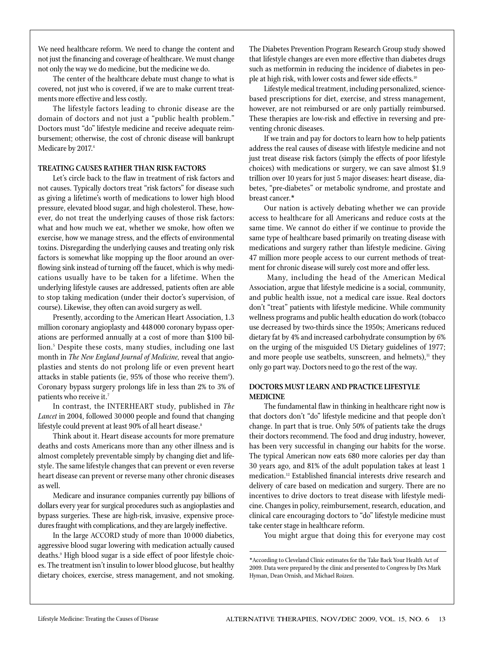We need healthcare reform. We need to change the content and not just the financing and coverage of healthcare. We must change not only the way we do medicine, but the medicine we do.

The center of the healthcare debate must change to what is covered, not just who is covered, if we are to make current treatments more effective and less costly.

The lifestyle factors leading to chronic disease are the domain of doctors and not just a "public health problem." Doctors must "do" lifestyle medicine and receive adequate reimbursement; otherwise, the cost of chronic disease will bankrupt Medicare by 2017.4

#### **TREATING CAUSES RATHER THAN RISK FACTORS**

Let's circle back to the flaw in treatment of risk factors and not causes. Typically doctors treat "risk factors" for disease such as giving a lifetime's worth of medications to lower high blood pressure, elevated blood sugar, and high cholesterol. These, however, do not treat the underlying causes of those risk factors: what and how much we eat, whether we smoke, how often we exercise, how we manage stress, and the effects of environmental toxins. Disregarding the underlying causes and treating only risk factors is somewhat like mopping up the floor around an overflowing sink instead of turning off the faucet, which is why medications usually have to be taken for a lifetime. When the underlying lifestyle causes are addressed, patients often are able to stop taking medication (under their doctor's supervision, of course). Likewise, they often can avoid surgery as well.

Presently, according to the American Heart Association, 1.3 million coronary angioplasty and 448000 coronary bypass operations are performed annually at a cost of more than \$100 billion.5 Despite these costs, many studies, including one last month in *The New England Journal of Medicine,* reveal that angioplasties and stents do not prolong life or even prevent heart attacks in stable patients (ie, 95% of those who receive them<sup>6</sup>). Coronary bypass surgery prolongs life in less than 2% to 3% of patients who receive it.7

In contrast, the INTERHEART study, published in *The Lancet* in 2004, followed 30 000 people and found that changing lifestyle could prevent at least 90% of all heart disease.<sup>8</sup>

Think about it. Heart disease accounts for more premature deaths and costs Americans more than any other illness and is almost completely preventable simply by changing diet and lifestyle. The same lifestyle changes that can prevent or even reverse heart disease can prevent or reverse many other chronic diseases as well.

Medicare and insurance companies currently pay billions of dollars every year for surgical procedures such as angioplasties and bypass surgeries. These are high-risk, invasive, expensive procedures fraught with complications, and they are largely ineffective.

In the large ACCORD study of more than 10 000 diabetics, aggressive blood sugar lowering with medication actually caused deaths.9 High blood sugar is a side effect of poor lifestyle choices. The treatment isn't insulin to lower blood glucose, but healthy dietary choices, exercise, stress management, and not smoking.

The Diabetes Prevention Program Research Group study showed that lifestyle changes are even more effective than diabetes drugs such as metformin in reducing the incidence of diabetes in people at high risk, with lower costs and fewer side effects.<sup>10</sup>

Lifestyle medical treatment, including personalized, sciencebased prescriptions for diet, exercise, and stress management, however, are not reimbursed or are only partially reimbursed. These therapies are low-risk and effective in reversing and preventing chronic diseases.

If we train and pay for doctors to learn how to help patients address the real causes of disease with lifestyle medicine and not just treat disease risk factors (simply the effects of poor lifestyle choices) with medications or surgery, we can save almost \$1.9 trillion over 10 years for just 5 major diseases: heart disease, diabetes, "pre-diabetes" or metabolic syndrome, and prostate and breast cancer.\*

Our nation is actively debating whether we can provide access to healthcare for all Americans and reduce costs at the same time. We cannot do either if we continue to provide the same type of healthcare based primarily on treating disease with medications and surgery rather than lifestyle medicine. Giving 47 million more people access to our current methods of treatment for chronic disease will surely cost more and offer less.

 Many, including the head of the American Medical Association, argue that lifestyle medicine is a social, community, and public health issue, not a medical care issue. Real doctors don't "treat" patients with lifestyle medicine. While community wellness programs and public health education do work (tobacco use decreased by two-thirds since the 1950s; Americans reduced dietary fat by 4% and increased carbohydrate consumption by 6% on the urging of the misguided US Dietary guidelines of 1977; and more people use seatbelts, sunscreen, and helmets), $<sup>11</sup>$  they</sup> only go part way. Doctors need to go the rest of the way.

### **DOCTORS MUST LEARN AND PRACTICE LIFESTYLE MEDICINE**

The fundamental flaw in thinking in healthcare right now is that doctors don't "do" lifestyle medicine and that people don't change. In part that is true. Only 50% of patients take the drugs their doctors recommend. The food and drug industry, however, has been very successful in changing our habits for the worse. The typical American now eats 680 more calories per day than 30 years ago, and 81% of the adult population takes at least 1 medication.<sup>12</sup> Established financial interests drive research and delivery of care based on medication and surgery. There are no incentives to drive doctors to treat disease with lifestyle medicine. Changes in policy, reimbursement, research, education, and clinical care encouraging doctors to "do" lifestyle medicine must take center stage in healthcare reform.

You might argue that doing this for everyone may cost

<sup>\*</sup>According to Cleveland Clinic estimates for the Take Back Your Health Act of 2009. Data were prepared by the clinic and presented to Congress by Drs Mark Hyman, Dean Ornish, and Michael Roizen.